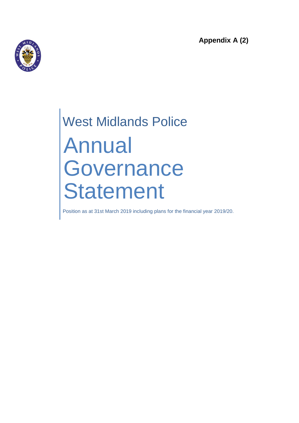**Appendix A (2)**



# West Midlands Police Annual Governance Statement

Position as at 31st March 2019 including plans for the financial year 2019/20.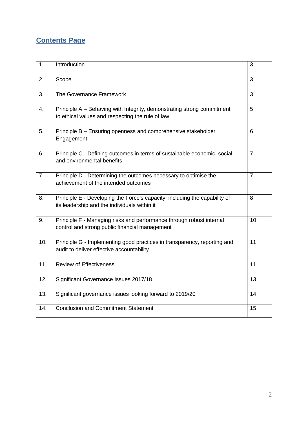## **Contents Page**

| 1.  | Introduction                                                                                                               | 3               |
|-----|----------------------------------------------------------------------------------------------------------------------------|-----------------|
| 2.  | Scope                                                                                                                      | 3               |
| 3.  | The Governance Framework                                                                                                   | 3               |
| 4.  | Principle A - Behaving with Integrity, demonstrating strong commitment<br>to ethical values and respecting the rule of law | 5               |
| 5.  | Principle B - Ensuring openness and comprehensive stakeholder<br>Engagement                                                | 6               |
| 6.  | Principle C - Defining outcomes in terms of sustainable economic, social<br>and environmental benefits                     | $\overline{7}$  |
| 7.  | Principle D - Determining the outcomes necessary to optimise the<br>achievement of the intended outcomes                   | 7               |
| 8.  | Principle E - Developing the Force's capacity, including the capability of<br>its leadership and the individuals within it | 8               |
| 9.  | Principle F - Managing risks and performance through robust internal<br>control and strong public financial management     | 10              |
| 10. | Principle G - Implementing good practices in transparency, reporting and<br>audit to deliver effective accountability      | 11              |
| 11. | <b>Review of Effectiveness</b>                                                                                             | 11              |
| 12. | Significant Governance Issues 2017/18                                                                                      | 13              |
| 13. | Significant governance issues looking forward to 2019/20                                                                   | $\overline{14}$ |
| 14. | <b>Conclusion and Commitment Statement</b>                                                                                 | 15              |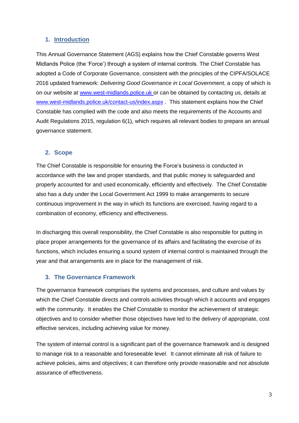#### **1. Introduction**

This Annual Governance Statement (AGS) explains how the Chief Constable governs West Midlands Police (the 'Force') through a system of internal controls. The Chief Constable has adopted a Code of Corporate Governance, consistent with the principles of the CIPFA/SOLACE 2016 updated framework: *Delivering Good Governance in Local Government*, a copy of which is on our website at [www.west-midlands.police.uk](http://www.west-midlands.police.uk/) or can be obtained by contacting us, details at [www.west-midlands.police.uk/contact-us/index.aspx](http://www.west-midlands.police.uk/contact-us/index.aspx) . This statement explains how the Chief Constable has complied with the code and also meets the requirements of the Accounts and Audit Regulations 2015, regulation 6(1), which requires all relevant bodies to prepare an annual governance statement.

#### **2. Scope**

The Chief Constable is responsible for ensuring the Force's business is conducted in accordance with the law and proper standards, and that public money is safeguarded and properly accounted for and used economically, efficiently and effectively. The Chief Constable also has a duty under the Local Government Act 1999 to make arrangements to secure continuous improvement in the way in which its functions are exercised, having regard to a combination of economy, efficiency and effectiveness.

In discharging this overall responsibility, the Chief Constable is also responsible for putting in place proper arrangements for the governance of its affairs and facilitating the exercise of its functions, which includes ensuring a sound system of internal control is maintained through the year and that arrangements are in place for the management of risk.

#### **3. The Governance Framework**

The governance framework comprises the systems and processes, and culture and values by which the Chief Constable directs and controls activities through which it accounts and engages with the community. It enables the Chief Constable to monitor the achievement of strategic objectives and to consider whether those objectives have led to the delivery of appropriate, cost effective services, including achieving value for money.

The system of internal control is a significant part of the governance framework and is designed to manage risk to a reasonable and foreseeable level. It cannot eliminate all risk of failure to achieve policies, aims and objectives; it can therefore only provide reasonable and not absolute assurance of effectiveness.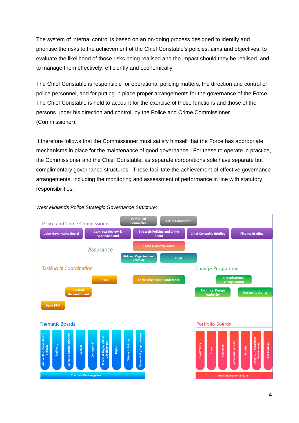The system of internal control is based on an on-going process designed to identify and prioritise the risks to the achievement of the Chief Constable's policies, aims and objectives, to evaluate the likelihood of those risks being realised and the impact should they be realised, and to manage them effectively, efficiently and economically.

The Chief Constable is responsible for operational policing matters, the direction and control of police personnel, and for putting in place proper arrangements for the governance of the Force. The Chief Constable is held to account for the exercise of those functions and those of the persons under his direction and control, by the Police and Crime Commissioner (Commissioner).

It therefore follows that the Commissioner must satisfy himself that the Force has appropriate mechanisms in place for the maintenance of good governance. For these to operate in practice, the Commissioner and the Chief Constable, as separate corporations sole have separate but complimentary governance structures. These facilitate the achievement of effective governance arrangements, including the monitoring and assessment of performance in line with statutory responsibilities.



#### *West Midlands Police Strategic Governance Structure:*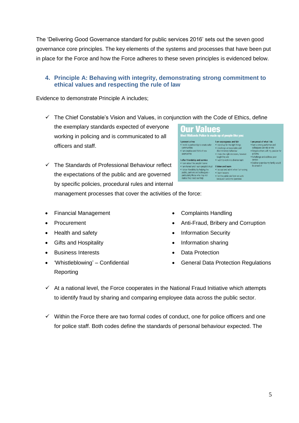The 'Delivering Good Governance standard for public services 2016' sets out the seven good governance core principles. The key elements of the systems and processes that have been put in place for the Force and how the Force adheres to these seven principles is evidenced below.

#### **4. Principle A: Behaving with integrity, demonstrating strong commitment to ethical values and respecting the rule of law**

Evidence to demonstrate Principle A includes;

- $\checkmark$  The Chief Constable's Vision and Values, in conjunction with the Code of Ethics, define
	- the exemplary standards expected of everyone working in policing and is communicated to all officers and staff.
- $\checkmark$  The Standards of Professional Behaviour reflect the expectations of the public and are governed by specific policies, procedural rules and internal management processes that cover the activities of the force:
- Financial Management
- Procurement
- Health and safety
- Gifts and Hospitality
- Business Interests
- 'Whistleblowing' Confidential Reporting
- Complaints Handling
- Anti-Fraud, Bribery and Corruption

• Taccept and admit when Tam wi<br>• Het the public see how we work<br>• Because I welcome openness

- Information Security
- Information sharing
- Data Protection
- General Data Protection Regulations
- $\checkmark$  At a national level, the Force cooperates in the National Fraud Initiative which attempts to identify fraud by sharing and comparing employee data across the public sector.
- $\checkmark$  Within the Force there are two formal codes of conduct, one for police officers and one for police staff. Both codes define the standards of personal behaviour expected. The

**Our Values** I am courageous and fair<br>• I stand up for the right things<br>• I challenge unreasonable and<br>• I make the right decisions, however<br>• I make the right decisions, however I prevent crime **I prevent crime**<br>• I work in partnership to create safer<br>communities . I am creative and think of new tough they ar . I want to work in a diverse team I offer friendship and service • I care about the people I serve<br>• I am honest and I earn people's trust I listen and learn • I show friendship by helping the<br>public, partners and colleagues-<br>particularly those who may not<br>realise they need our help · I accept and admit when I am wrong

I am proud of what I do • I am a strong performer and<br>
• I am a strong performer and<br>
• I inspire others with my pas policing<br>• I challenge and address poor . I deliver a service my family would<br>be proud of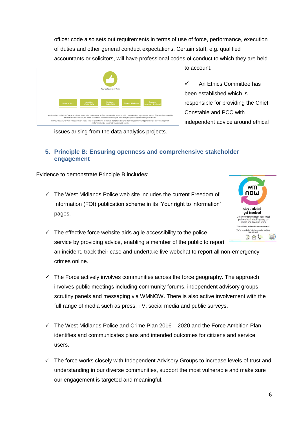officer code also sets out requirements in terms of use of force, performance, execution of duties and other general conduct expectations. Certain staff, e.g. qualified accountants or solicitors, will have professional codes of conduct to which they are held



to account.

 $\checkmark$  An Ethics Committee has been established which is responsible for providing the Chief Constable and PCC with independent advice around ethical

issues arising from the data analytics projects.

#### **5. Principle B: Ensuring openness and comprehensive stakeholder engagement**

Evidence to demonstrate Principle B includes;

 $\checkmark$  The West Midlands Police web site includes the current Freedom of Information (FOI) publication scheme in its 'Your right to information' pages.



 $\checkmark$  The effective force website aids agile accessibility to the police service by providing advice, enabling a member of the public to report an incident, track their case and undertake live webchat to report all non-emergency crimes online.

- $\checkmark$  The Force actively involves communities across the force geography. The approach involves public meetings including community forums, independent advisory groups, scrutiny panels and messaging via WMNOW. There is also active involvement with the full range of media such as press, TV, social media and public surveys.
- $\checkmark$  The West Midlands Police and Crime Plan 2016 2020 and the Force Ambition Plan identifies and communicates plans and intended outcomes for citizens and service users.
- $\checkmark$  The force works closely with Independent Advisory Groups to increase levels of trust and understanding in our diverse communities, support the most vulnerable and make sure our engagement is targeted and meaningful.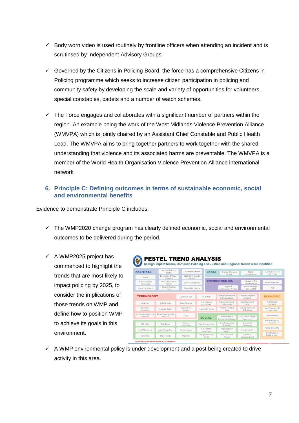- Body worn video is used routinely by frontline officers when attending an incident and is scrutinsed by Independent Advisory Groups.
- $\checkmark$  Governed by the Citizens in Policing Board, the force has a comprehensive Citizens in Policing programme which seeks to increase citizen participation in policing and community safety by developing the scale and variety of opportunities for volunteers, special constables, cadets and a number of watch schemes.
- $\checkmark$  The Force engages and collaborates with a significant number of partners within the region. An example being the work of the West Midlands Violence Prevention Alliance (WMVPA) which is jointly chaired by an Assistant Chief Constable and Public Health Lead. The WMVPA aims to bring together partners to work together with the shared understanding that violence and its associated harms are preventable. The WMVPA is a member of the World Health Organisation Violence Prevention Alliance international network*.*

#### **6. Principle C: Defining outcomes in terms of sustainable economic, social and environmental benefits**

Evidence to demonstrate Principle C includes;

- $\checkmark$  The WMP2020 change program has clearly defined economic, social and environmental outcomes to be delivered during the period.
- $\checkmark$  A WMP2025 project has commenced to highlight the trends that are most likely to impact policing by 2025, to consider the implications of those trends on WMP and define how to position WMP to achieve its goals in this environment.



 $\checkmark$  A WMP environmental policy is under development and a post being created to drive activity in this area.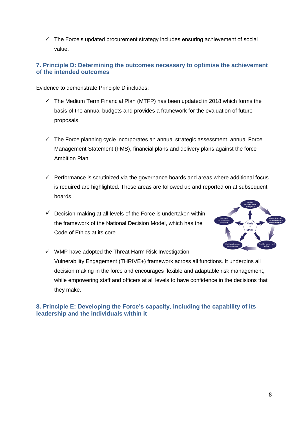$\checkmark$  The Force's updated procurement strategy includes ensuring achievement of social value.

#### **7. Principle D: Determining the outcomes necessary to optimise the achievement of the intended outcomes**

Evidence to demonstrate Principle D includes;

- $\checkmark$  The Medium Term Financial Plan (MTFP) has been updated in 2018 which forms the basis of the annual budgets and provides a framework for the evaluation of future proposals.
- $\checkmark$  The Force planning cycle incorporates an annual strategic assessment, annual Force Management Statement (FMS), financial plans and delivery plans against the force Ambition Plan.
- $\checkmark$  Performance is scrutinized via the governance boards and areas where additional focus is required are highlighted. These areas are followed up and reported on at subsequent boards.
- $\checkmark$  Decision-making at all levels of the Force is undertaken within the framework of the National Decision Model, which has the Code of Ethics at its core.



 $\checkmark$  WMP have adopted the Threat Harm Risk Investigation Vulnerability Engagement (THRIVE+) framework across all functions. It underpins all decision making in the force and encourages flexible and adaptable risk management, while empowering staff and officers at all levels to have confidence in the decisions that they make.

#### **8. Principle E: Developing the Force's capacity, including the capability of its leadership and the individuals within it**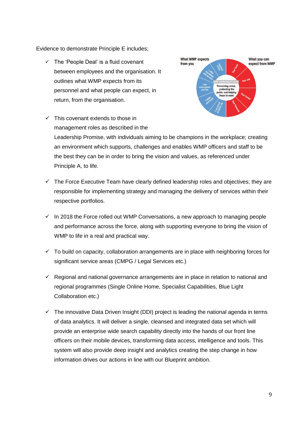Evidence to demonstrate Principle E includes;

 $\checkmark$  The 'People Deal' is a fluid covenant between employees and the organisation. It outlines what WMP expects from its personnel and what people can expect, in return, from the organisation.



 $\checkmark$  This covenant extends to those in management roles as described in the Leadership Promise, with individuals aiming to be champions in the workplace; creating

an environment which supports, challenges and enables WMP officers and staff to be the best they can be in order to bring the vision and values, as referenced under Principle A, to life.

- $\checkmark$  The Force Executive Team have clearly defined leadership roles and objectives; they are responsible for implementing strategy and managing the delivery of services within their respective portfolios.
- $\checkmark$  In 2018 the Force rolled out WMP Conversations, a new approach to managing people and performance across the force, along with supporting everyone to bring the vision of WMP to life in a real and practical way.
- $\checkmark$  To build on capacity, collaboration arrangements are in place with neighboring forces for significant service areas (CMPG / Legal Services etc.)
- $\checkmark$  Regional and national governance arrangements are in place in relation to national and regional programmes (Single Online Home, Specialist Capabilities, Blue Light Collaboration etc.)
- $\checkmark$  The innovative Data Driven Insight (DDI) project is leading the national agenda in terms of data analytics. It will deliver a single, cleansed and integrated data set which will provide an enterprise wide search capability directly into the hands of our front line officers on their mobile devices, transforming data access, intelligence and tools. This system will also provide deep insight and analytics creating the step change in how information drives our actions in line with our Blueprint ambition.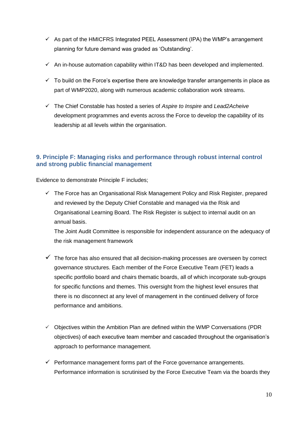- $\checkmark$  As part of the HMICFRS Integrated PEEL Assessment (IPA) the WMP's arrangement planning for future demand was graded as 'Outstanding'.
- $\checkmark$  An in-house automation capability within IT&D has been developed and implemented.
- $\checkmark$  To build on the Force's expertise there are knowledge transfer arrangements in place as part of WMP2020, along with numerous academic collaboration work streams.
- The Chief Constable has hosted a series of *Aspire to Inspire* and *Lead2Acheive* development programmes and events across the Force to develop the capability of its leadership at all levels within the organisation.

#### **9. Principle F: Managing risks and performance through robust internal control and strong public financial management**

Evidence to demonstrate Principle F includes;

 $\checkmark$  The Force has an Organisational Risk Management Policy and Risk Register, prepared and reviewed by the Deputy Chief Constable and managed via the Risk and Organisational Learning Board. The Risk Register is subject to internal audit on an annual basis.

The Joint Audit Committee is responsible for independent assurance on the adequacy of the risk management framework

- $\checkmark$  The force has also ensured that all decision-making processes are overseen by correct governance structures. Each member of the Force Executive Team (FET) leads a specific portfolio board and chairs thematic boards, all of which incorporate sub-groups for specific functions and themes. This oversight from the highest level ensures that there is no disconnect at any level of management in the continued delivery of force performance and ambitions.
- $\checkmark$  Objectives within the Ambition Plan are defined within the WMP Conversations (PDR) objectives) of each executive team member and cascaded throughout the organisation's approach to performance management.
- $\checkmark$  Performance management forms part of the Force governance arrangements. Performance information is scrutinised by the Force Executive Team via the boards they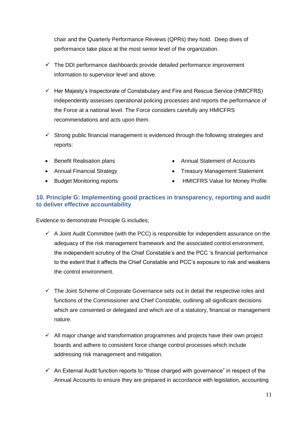chair and the Quarterly Performance Reviews (QPRs) they hold. Deep dives of performance take place at the most senior level of the organization.

- $\checkmark$  The DDI performance dashboards provide detailed performance improvement information to supervisor level and above.
- $\checkmark$  Her Majesty's Inspectorate of Constabulary and Fire and Rescue Service (HMICFRS) independently assesses operational policing processes and reports the performance of the Force at a national level. The Force considers carefully any HMICFRS recommendations and acts upon them.
- $\checkmark$  Strong public financial management is evidenced through the following strategies and reports:
- Benefit Realisation plans
- Annual Financial Strategy
- Budget Monitoring reports
- Annual Statement of Accounts
- Treasury Management Statement
	- HMICFRS Value for Money Profile

#### **10. Principle G: Implementing good practices in transparency, reporting and audit to deliver effective accountability**

Evidence to demonstrate Principle G includes;

- $\checkmark$  A Joint Audit Committee (with the PCC) is responsible for independent assurance on the adequacy of the risk management framework and the associated control environment, the independent scrutiny of the Chief Constable's and the PCC 's financial performance to the extent that it affects the Chief Constable and PCC's exposure to risk and weakens the control environment.
- $\checkmark$  The Joint Scheme of Corporate Governance sets out in detail the respective roles and functions of the Commissioner and Chief Constable, outlining all significant decisions which are consented or delegated and which are of a statutory, financial or management nature.
- $\checkmark$  All major change and transformation programmes and projects have their own project boards and adhere to consistent force change control processes which include addressing risk management and mitigation.
- $\checkmark$  An External Audit function reports to "those charged with governance" in respect of the Annual Accounts to ensure they are prepared in accordance with legislation, accounting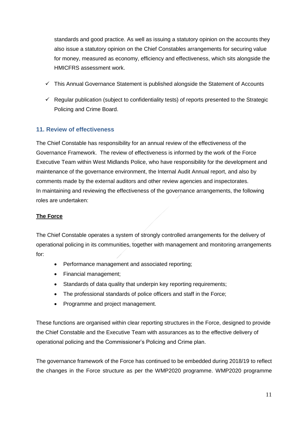standards and good practice. As well as issuing a statutory opinion on the accounts they also issue a statutory opinion on the Chief Constables arrangements for securing value for money, measured as economy, efficiency and effectiveness, which sits alongside the HMICFRS assessment work.

- $\checkmark$  This Annual Governance Statement is published alongside the Statement of Accounts
- $\checkmark$  Regular publication (subject to confidentiality tests) of reports presented to the Strategic Policing and Crime Board.

#### **11. Review of effectiveness**

The Chief Constable has responsibility for an annual review of the effectiveness of the Governance Framework. The review of effectiveness is informed by the work of the Force Executive Team within West Midlands Police, who have responsibility for the development and maintenance of the governance environment, the Internal Audit Annual report, and also by comments made by the external auditors and other review agencies and inspectorates. In maintaining and reviewing the effectiveness of the governance arrangements, the following roles are undertaken:

#### **The Force**

The Chief Constable operates a system of strongly controlled arrangements for the delivery of operational policing in its communities, together with management and monitoring arrangements for:

- Performance management and associated reporting;
- Financial management;
- Standards of data quality that underpin key reporting requirements;
- The professional standards of police officers and staff in the Force;
- Programme and project management.

These functions are organised within clear reporting structures in the Force, designed to provide the Chief Constable and the Executive Team with assurances as to the effective delivery of operational policing and the Commissioner's Policing and Crime plan.

The governance framework of the Force has continued to be embedded during 2018/19 to reflect the changes in the Force structure as per the WMP2020 programme. WMP2020 programme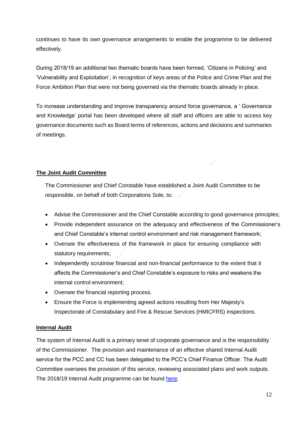continues to have its own governance arrangements to enable the programme to be delivered effectively.

During 2018/19 an additional two thematic boards have been formed, 'Citizens in Policing' and 'Vulnerability and Exploitation', in recognition of keys areas of the Police and Crime Plan and the Force Ambition Plan that were not being governed via the thematic boards already in place.

To increase understanding and improve transparency around force governance, a ' Governance and Knowledge' portal has been developed where all staff and officers are able to access key governance documents such as Board terms of references, actions and decisions and summaries of meetings.

#### **The Joint Audit Committee**

The Commissioner and Chief Constable have established a Joint Audit Committee to be responsible, on behalf of both Corporations Sole, to:

- Advise the Commissioner and the Chief Constable according to good governance principles;
- Provide independent assurance on the adequacy and effectiveness of the Commissioner's and Chief Constable's internal control environment and risk management framework;
- Oversee the effectiveness of the framework in place for ensuring compliance with statutory requirements;
- Independently scrutinise financial and non-financial performance to the extent that it affects the Commissioner's and Chief Constable's exposure to risks and weakens the internal control environment;
- Oversee the financial reporting process.
- Ensure the Force is implementing agreed actions resulting from Her Majesty's Inspectorate of Constabulary and Fire & Rescue Services (HMICFRS) inspections.

#### **Internal Audit**

The system of Internal Audit is a primary tenet of corporate governance and is the responsibility of the Commissioner. The provision and maintenance of an effective shared Internal Audit service for the PCC and CC has been delegated to the PCC's Chief Finance Officer. The Audit Committee oversees the provision of this service, reviewing associated plans and work outputs. The 2018/19 Internal Audit programme can be found [here.](https://www.westmidlands-pcc.gov.uk/media/479924/05-March-2018-Internal-Audit-Strategy-and-Draft-Work-Plan-2018-19.pdf)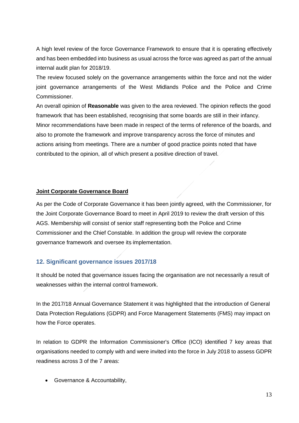A high level review of the force Governance Framework to ensure that it is operating effectively and has been embedded into business as usual across the force was agreed as part of the annual internal audit plan for 2018/19.

The review focused solely on the governance arrangements within the force and not the wider joint governance arrangements of the West Midlands Police and the Police and Crime Commissioner.

An overall opinion of **Reasonable** was given to the area reviewed. The opinion reflects the good framework that has been established, recognising that some boards are still in their infancy. Minor recommendations have been made in respect of the terms of reference of the boards, and also to promote the framework and improve transparency across the force of minutes and actions arising from meetings. There are a number of good practice points noted that have contributed to the opinion, all of which present a positive direction of travel.

#### **Joint Corporate Governance Board**

As per the Code of Corporate Governance it has been jointly agreed, with the Commissioner, for the Joint Corporate Governance Board to meet in April 2019 to review the draft version of this AGS. Membership will consist of senior staff representing both the Police and Crime Commissioner and the Chief Constable. In addition the group will review the corporate governance framework and oversee its implementation.

#### **12. Significant governance issues 2017/18**

It should be noted that governance issues facing the organisation are not necessarily a result of weaknesses within the internal control framework.

In the 2017/18 Annual Governance Statement it was highlighted that the introduction of General Data Protection Regulations (GDPR) and Force Management Statements (FMS) may impact on how the Force operates.

In relation to GDPR the Information Commissioner's Office (ICO) identified 7 key areas that organisations needed to comply with and were invited into the force in July 2018 to assess GDPR readiness across 3 of the 7 areas:

Governance & Accountability,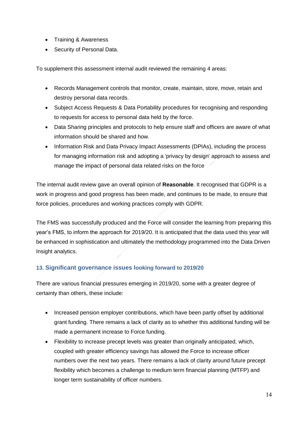- Training & Awareness
- Security of Personal Data.

To supplement this assessment internal audit reviewed the remaining 4 areas:

- Records Management controls that monitor, create, maintain, store, move, retain and destroy personal data records.
- Subject Access Requests & Data Portability procedures for recognising and responding to requests for access to personal data held by the force.
- Data Sharing principles and protocols to help ensure staff and officers are aware of what information should be shared and how.
- Information Risk and Data Privacy Impact Assessments (DPIAs), including the process for managing information risk and adopting a 'privacy by design' approach to assess and manage the impact of personal data related risks on the force

The internal audit review gave an overall opinion of **Reasonable**. It recognised that GDPR is a work in progress and good progress has been made, and continues to be made, to ensure that force policies, procedures and working practices comply with GDPR.

The FMS was successfully produced and the Force will consider the learning from preparing this year's FMS, to inform the approach for 2019/20. It is anticipated that the data used this year will be enhanced in sophistication and ultimately the methodology programmed into the Data Driven Insight analytics.

#### **13. Significant governance issues looking forward to 2019/20**

There are various financial pressures emerging in 2019/20, some with a greater degree of certainty than others, these include:

- Increased pension employer contributions, which have been partly offset by additional grant funding. There remains a lack of clarity as to whether this additional funding will be made a permanent increase to Force funding.
- Flexibility to increase precept levels was greater than originally anticipated, which, coupled with greater efficiency savings has allowed the Force to increase officer numbers over the next two years. There remains a lack of clarity around future precept flexibility which becomes a challenge to medium term financial planning (MTFP) and longer term sustainability of officer numbers.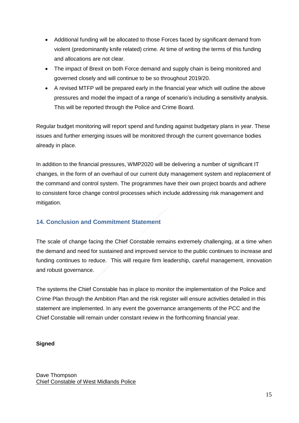- Additional funding will be allocated to those Forces faced by significant demand from violent (predominantly knife related) crime. At time of writing the terms of this funding and allocations are not clear.
- The impact of Brexit on both Force demand and supply chain is being monitored and governed closely and will continue to be so throughout 2019/20.
- A revised MTFP will be prepared early in the financial year which will outline the above pressures and model the impact of a range of scenario's including a sensitivity analysis. This will be reported through the Police and Crime Board.

Regular budget monitoring will report spend and funding against budgetary plans in year. These issues and further emerging issues will be monitored through the current governance bodies already in place.

In addition to the financial pressures, WMP2020 will be delivering a number of significant IT changes, in the form of an overhaul of our current duty management system and replacement of the command and control system. The programmes have their own project boards and adhere to consistent force change control processes which include addressing risk management and mitigation.

### **14. Conclusion and Commitment Statement**

The scale of change facing the Chief Constable remains extremely challenging, at a time when the demand and need for sustained and improved service to the public continues to increase and funding continues to reduce. This will require firm leadership, careful management, innovation and robust governance.

The systems the Chief Constable has in place to monitor the implementation of the Police and Crime Plan through the Ambition Plan and the risk register will ensure activities detailed in this statement are implemented. In any event the governance arrangements of the PCC and the Chief Constable will remain under constant review in the forthcoming financial year.

#### **Signed**